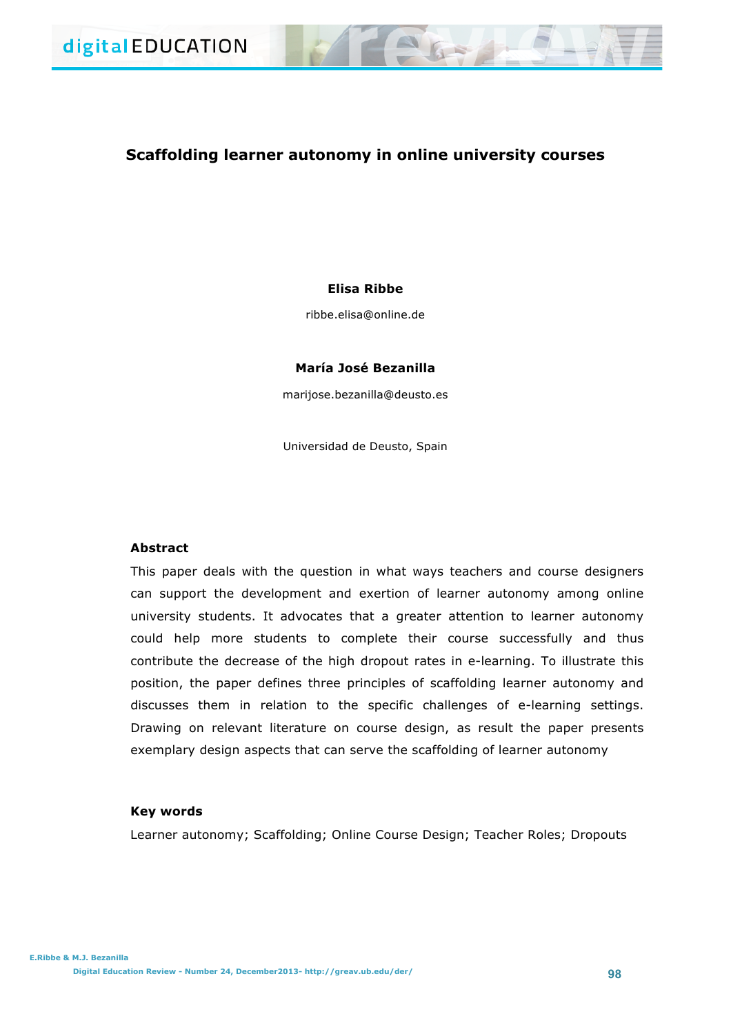# **Scaffolding learner autonomy in online university courses**

## **Elisa Ribbe**

ribbe.elisa@online.de

## **María José Bezanilla**

marijose.bezanilla@deusto.es

Universidad de Deusto, Spain

## **Abstract**

This paper deals with the question in what ways teachers and course designers can support the development and exertion of learner autonomy among online university students. It advocates that a greater attention to learner autonomy could help more students to complete their course successfully and thus contribute the decrease of the high dropout rates in e-learning. To illustrate this position, the paper defines three principles of scaffolding learner autonomy and discusses them in relation to the specific challenges of e-learning settings. Drawing on relevant literature on course design, as result the paper presents exemplary design aspects that can serve the scaffolding of learner autonomy

## **Key words**

Learner autonomy; Scaffolding; Online Course Design; Teacher Roles; Dropouts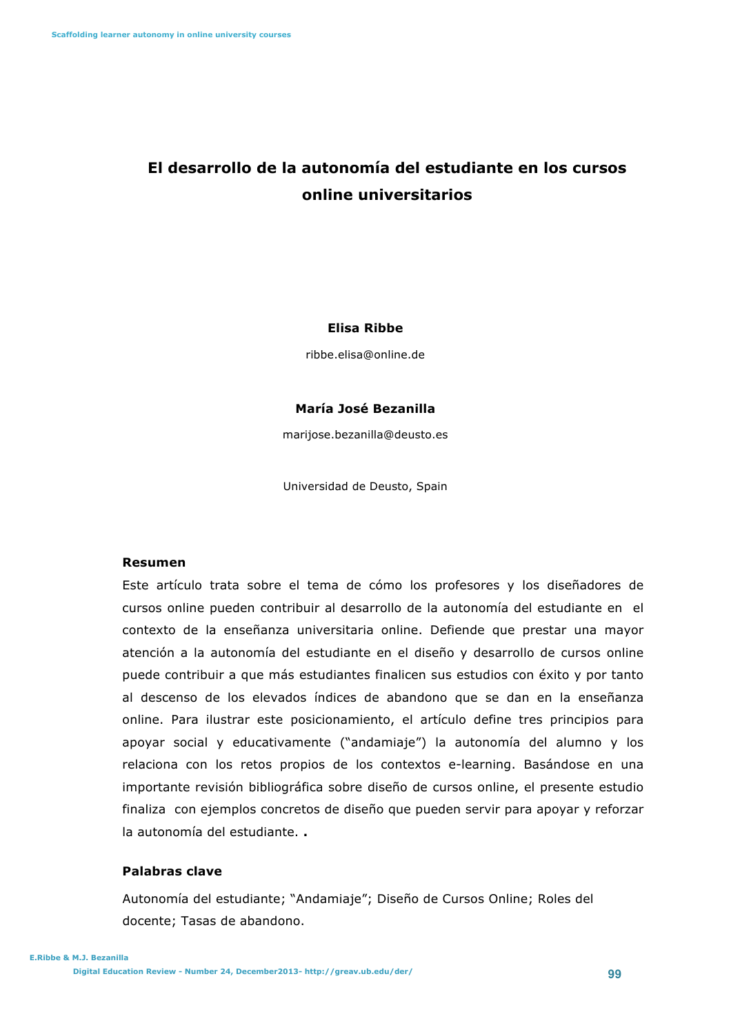# **El desarrollo de la autonomía del estudiante en los cursos online universitarios**

## **Elisa Ribbe**

ribbe.elisa@online.de

## **María José Bezanilla**

marijose.bezanilla@deusto.es

Universidad de Deusto, Spain

## **Resumen**

Este artículo trata sobre el tema de cómo los profesores y los diseñadores de cursos online pueden contribuir al desarrollo de la autonomía del estudiante en el contexto de la enseñanza universitaria online. Defiende que prestar una mayor atención a la autonomía del estudiante en el diseño y desarrollo de cursos online puede contribuir a que más estudiantes finalicen sus estudios con éxito y por tanto al descenso de los elevados índices de abandono que se dan en la enseñanza online. Para ilustrar este posicionamiento, el artículo define tres principios para apoyar social y educativamente ("andamiaje") la autonomía del alumno y los relaciona con los retos propios de los contextos e-learning. Basándose en una importante revisión bibliográfica sobre diseño de cursos online, el presente estudio finaliza con ejemplos concretos de diseño que pueden servir para apoyar y reforzar la autonomía del estudiante. **.**

# **Palabras clave**

Autonomía del estudiante; "Andamiaje"; Diseño de Cursos Online; Roles del docente; Tasas de abandono.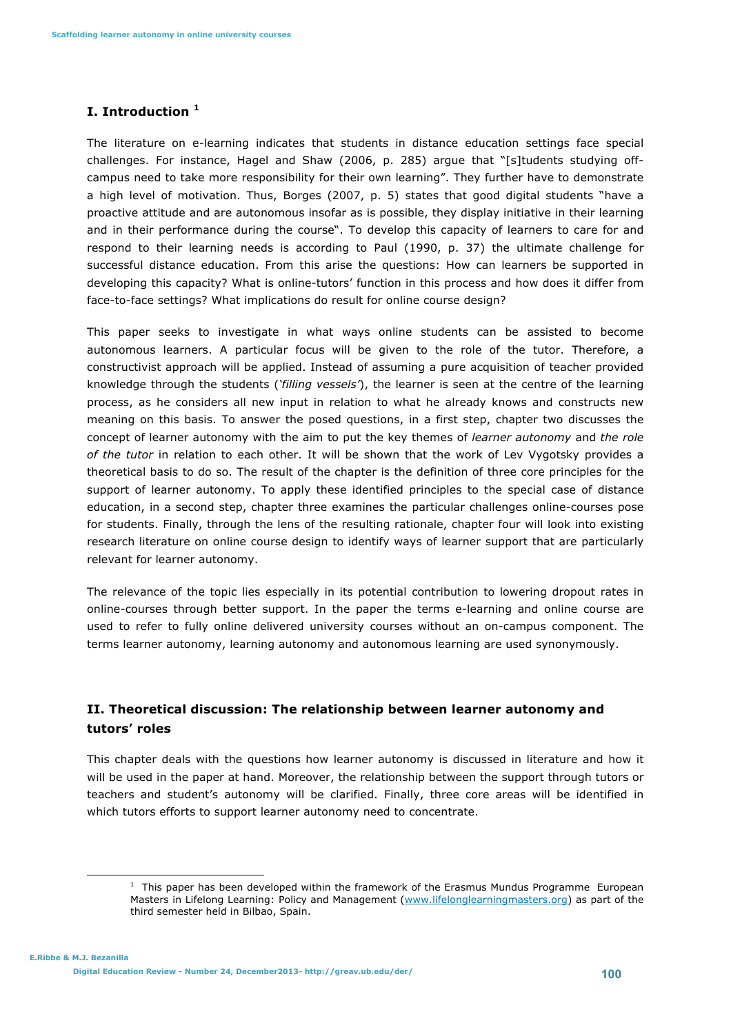# **I. Introduction <sup>1</sup>**

The literature on e-learning indicates that students in distance education settings face special challenges. For instance, Hagel and Shaw (2006, p. 285) argue that "[s]tudents studying offcampus need to take more responsibility for their own learning". They further have to demonstrate a high level of motivation. Thus, Borges (2007, p. 5) states that good digital students "have a proactive attitude and are autonomous insofar as is possible, they display initiative in their learning and in their performance during the course". To develop this capacity of learners to care for and respond to their learning needs is according to Paul (1990, p. 37) the ultimate challenge for successful distance education. From this arise the questions: How can learners be supported in developing this capacity? What is online-tutors' function in this process and how does it differ from face-to-face settings? What implications do result for online course design?

This paper seeks to investigate in what ways online students can be assisted to become autonomous learners. A particular focus will be given to the role of the tutor. Therefore, a constructivist approach will be applied. Instead of assuming a pure acquisition of teacher provided knowledge through the students (*'filling vessels'*), the learner is seen at the centre of the learning process, as he considers all new input in relation to what he already knows and constructs new meaning on this basis. To answer the posed questions, in a first step, chapter two discusses the concept of learner autonomy with the aim to put the key themes of *learner autonomy* and *the role of the tutor* in relation to each other. It will be shown that the work of Lev Vygotsky provides a theoretical basis to do so. The result of the chapter is the definition of three core principles for the support of learner autonomy. To apply these identified principles to the special case of distance education, in a second step, chapter three examines the particular challenges online-courses pose for students. Finally, through the lens of the resulting rationale, chapter four will look into existing research literature on online course design to identify ways of learner support that are particularly relevant for learner autonomy.

The relevance of the topic lies especially in its potential contribution to lowering dropout rates in online-courses through better support. In the paper the terms e-learning and online course are used to refer to fully online delivered university courses without an on-campus component. The terms learner autonomy, learning autonomy and autonomous learning are used synonymously.

# **II. Theoretical discussion: The relationship between learner autonomy and tutors' roles**

This chapter deals with the questions how learner autonomy is discussed in literature and how it will be used in the paper at hand. Moreover, the relationship between the support through tutors or teachers and student's autonomy will be clarified. Finally, three core areas will be identified in which tutors efforts to support learner autonomy need to concentrate.

 

 $<sup>1</sup>$  This paper has been developed within the framework of the Erasmus Mundus Programme European</sup> Masters in Lifelong Learning: Policy and Management (www.lifelonglearningmasters.org) as part of the third semester held in Bilbao, Spain.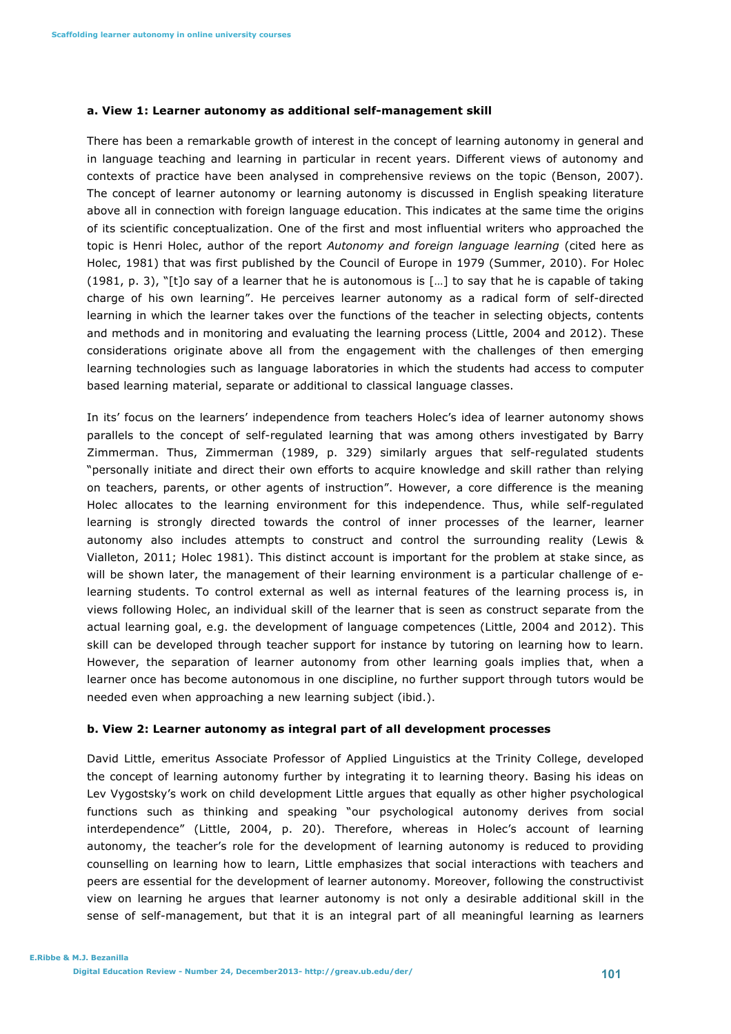#### **a. View 1: Learner autonomy as additional self-management skill**

There has been a remarkable growth of interest in the concept of learning autonomy in general and in language teaching and learning in particular in recent years. Different views of autonomy and contexts of practice have been analysed in comprehensive reviews on the topic (Benson, 2007). The concept of learner autonomy or learning autonomy is discussed in English speaking literature above all in connection with foreign language education. This indicates at the same time the origins of its scientific conceptualization. One of the first and most influential writers who approached the topic is Henri Holec, author of the report *Autonomy and foreign language learning* (cited here as Holec, 1981) that was first published by the Council of Europe in 1979 (Summer, 2010). For Holec (1981, p. 3), "[t]o say of a learner that he is autonomous is […] to say that he is capable of taking charge of his own learning". He perceives learner autonomy as a radical form of self-directed learning in which the learner takes over the functions of the teacher in selecting objects, contents and methods and in monitoring and evaluating the learning process (Little, 2004 and 2012). These considerations originate above all from the engagement with the challenges of then emerging learning technologies such as language laboratories in which the students had access to computer based learning material, separate or additional to classical language classes.

In its' focus on the learners' independence from teachers Holec's idea of learner autonomy shows parallels to the concept of self-regulated learning that was among others investigated by Barry Zimmerman. Thus, Zimmerman (1989, p. 329) similarly argues that self-regulated students "personally initiate and direct their own efforts to acquire knowledge and skill rather than relying on teachers, parents, or other agents of instruction". However, a core difference is the meaning Holec allocates to the learning environment for this independence. Thus, while self-regulated learning is strongly directed towards the control of inner processes of the learner, learner autonomy also includes attempts to construct and control the surrounding reality (Lewis & Vialleton, 2011; Holec 1981). This distinct account is important for the problem at stake since, as will be shown later, the management of their learning environment is a particular challenge of elearning students. To control external as well as internal features of the learning process is, in views following Holec, an individual skill of the learner that is seen as construct separate from the actual learning goal, e.g. the development of language competences (Little, 2004 and 2012). This skill can be developed through teacher support for instance by tutoring on learning how to learn. However, the separation of learner autonomy from other learning goals implies that, when a learner once has become autonomous in one discipline, no further support through tutors would be needed even when approaching a new learning subject (ibid.).

#### **b. View 2: Learner autonomy as integral part of all development processes**

David Little, emeritus Associate Professor of Applied Linguistics at the Trinity College, developed the concept of learning autonomy further by integrating it to learning theory. Basing his ideas on Lev Vygostsky's work on child development Little argues that equally as other higher psychological functions such as thinking and speaking "our psychological autonomy derives from social interdependence" (Little, 2004, p. 20). Therefore, whereas in Holec's account of learning autonomy, the teacher's role for the development of learning autonomy is reduced to providing counselling on learning how to learn, Little emphasizes that social interactions with teachers and peers are essential for the development of learner autonomy. Moreover, following the constructivist view on learning he argues that learner autonomy is not only a desirable additional skill in the sense of self-management, but that it is an integral part of all meaningful learning as learners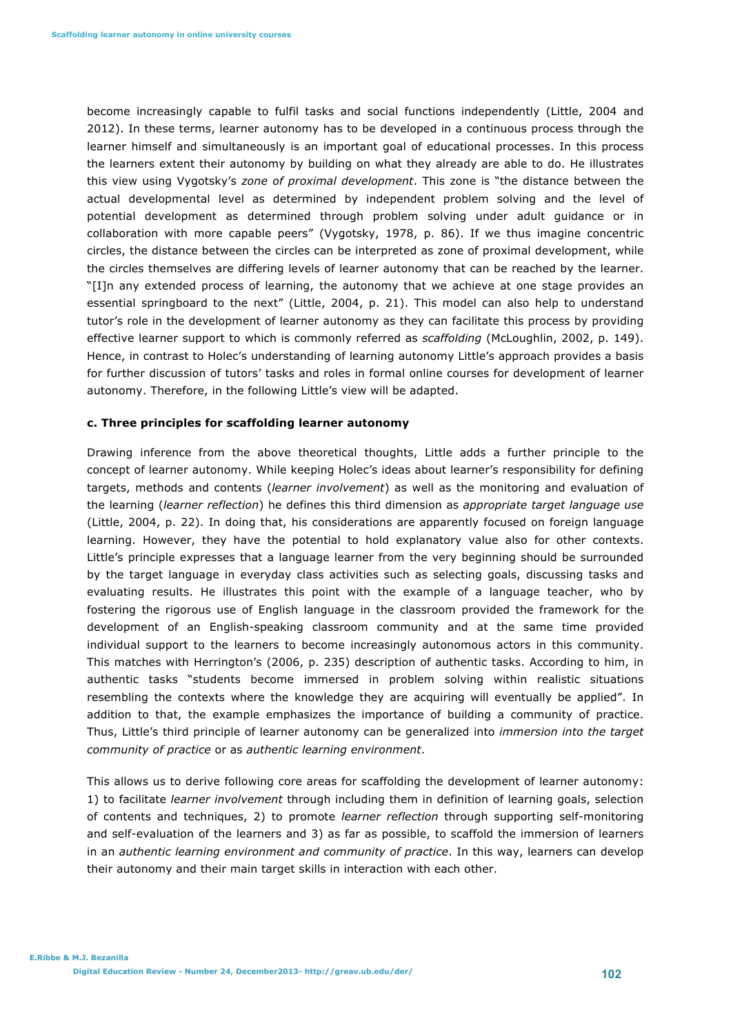become increasingly capable to fulfil tasks and social functions independently (Little, 2004 and 2012). In these terms, learner autonomy has to be developed in a continuous process through the learner himself and simultaneously is an important goal of educational processes. In this process the learners extent their autonomy by building on what they already are able to do. He illustrates this view using Vygotsky's *zone of proximal development*. This zone is "the distance between the actual developmental level as determined by independent problem solving and the level of potential development as determined through problem solving under adult guidance or in collaboration with more capable peers" (Vygotsky, 1978, p. 86). If we thus imagine concentric circles, the distance between the circles can be interpreted as zone of proximal development, while the circles themselves are differing levels of learner autonomy that can be reached by the learner. "[I]n any extended process of learning, the autonomy that we achieve at one stage provides an essential springboard to the next" (Little, 2004, p. 21). This model can also help to understand tutor's role in the development of learner autonomy as they can facilitate this process by providing effective learner support to which is commonly referred as *scaffolding* (McLoughlin, 2002, p. 149). Hence, in contrast to Holec's understanding of learning autonomy Little's approach provides a basis for further discussion of tutors' tasks and roles in formal online courses for development of learner autonomy. Therefore, in the following Little's view will be adapted.

#### **c. Three principles for scaffolding learner autonomy**

Drawing inference from the above theoretical thoughts, Little adds a further principle to the concept of learner autonomy. While keeping Holec's ideas about learner's responsibility for defining targets, methods and contents (*learner involvement*) as well as the monitoring and evaluation of the learning (*learner reflection*) he defines this third dimension as *appropriate target language use*  (Little, 2004, p. 22). In doing that, his considerations are apparently focused on foreign language learning. However, they have the potential to hold explanatory value also for other contexts. Little's principle expresses that a language learner from the very beginning should be surrounded by the target language in everyday class activities such as selecting goals, discussing tasks and evaluating results. He illustrates this point with the example of a language teacher, who by fostering the rigorous use of English language in the classroom provided the framework for the development of an English-speaking classroom community and at the same time provided individual support to the learners to become increasingly autonomous actors in this community. This matches with Herrington's (2006, p. 235) description of authentic tasks. According to him, in authentic tasks "students become immersed in problem solving within realistic situations resembling the contexts where the knowledge they are acquiring will eventually be applied". In addition to that, the example emphasizes the importance of building a community of practice. Thus, Little's third principle of learner autonomy can be generalized into *immersion into the target community of practice* or as *authentic learning environment*.

This allows us to derive following core areas for scaffolding the development of learner autonomy: 1) to facilitate *learner involvement* through including them in definition of learning goals, selection of contents and techniques, 2) to promote *learner reflection* through supporting self-monitoring and self-evaluation of the learners and 3) as far as possible, to scaffold the immersion of learners in an *authentic learning environment and community of practice*. In this way, learners can develop their autonomy and their main target skills in interaction with each other.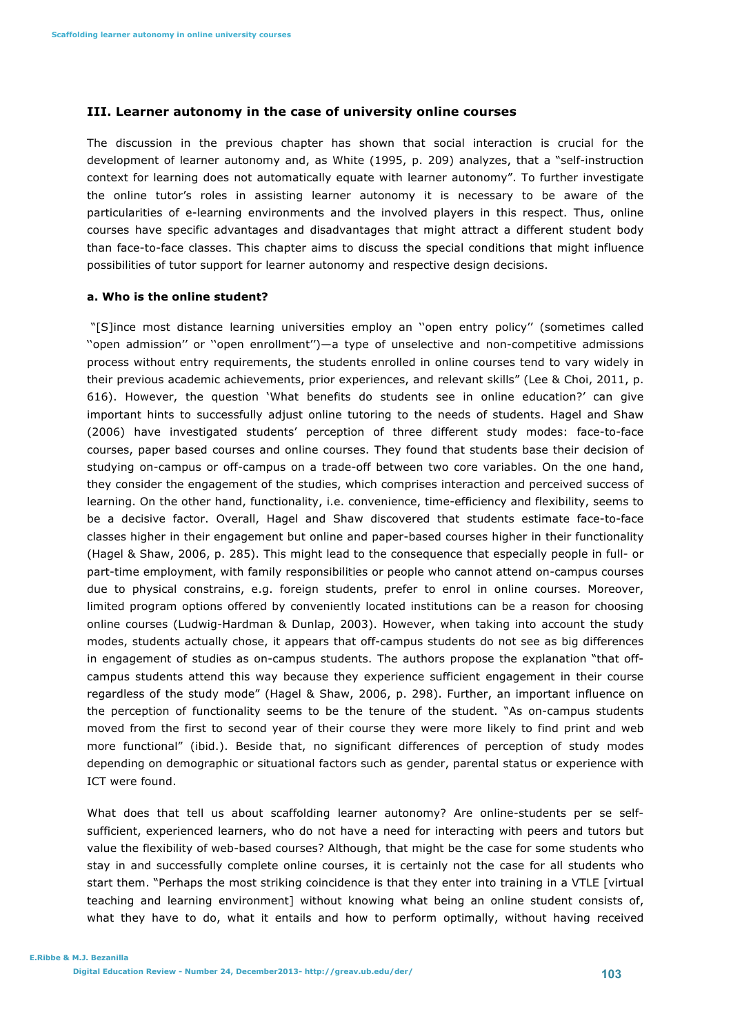#### **III. Learner autonomy in the case of university online courses**

The discussion in the previous chapter has shown that social interaction is crucial for the development of learner autonomy and, as White (1995, p. 209) analyzes, that a "self-instruction context for learning does not automatically equate with learner autonomy". To further investigate the online tutor's roles in assisting learner autonomy it is necessary to be aware of the particularities of e-learning environments and the involved players in this respect. Thus, online courses have specific advantages and disadvantages that might attract a different student body than face-to-face classes. This chapter aims to discuss the special conditions that might influence possibilities of tutor support for learner autonomy and respective design decisions.

#### **a. Who is the online student?**

"[S]ince most distance learning universities employ an ''open entry policy'' (sometimes called ''open admission'' or ''open enrollment'')—a type of unselective and non-competitive admissions process without entry requirements, the students enrolled in online courses tend to vary widely in their previous academic achievements, prior experiences, and relevant skills" (Lee & Choi, 2011, p. 616). However, the question 'What benefits do students see in online education?' can give important hints to successfully adjust online tutoring to the needs of students. Hagel and Shaw (2006) have investigated students' perception of three different study modes: face-to-face courses, paper based courses and online courses. They found that students base their decision of studying on-campus or off-campus on a trade-off between two core variables. On the one hand, they consider the engagement of the studies, which comprises interaction and perceived success of learning. On the other hand, functionality, i.e. convenience, time-efficiency and flexibility, seems to be a decisive factor. Overall, Hagel and Shaw discovered that students estimate face-to-face classes higher in their engagement but online and paper-based courses higher in their functionality (Hagel & Shaw, 2006, p. 285). This might lead to the consequence that especially people in full- or part-time employment, with family responsibilities or people who cannot attend on-campus courses due to physical constrains, e.g. foreign students, prefer to enrol in online courses. Moreover, limited program options offered by conveniently located institutions can be a reason for choosing online courses (Ludwig-Hardman & Dunlap, 2003). However, when taking into account the study modes, students actually chose, it appears that off-campus students do not see as big differences in engagement of studies as on-campus students. The authors propose the explanation "that offcampus students attend this way because they experience sufficient engagement in their course regardless of the study mode" (Hagel & Shaw, 2006, p. 298). Further, an important influence on the perception of functionality seems to be the tenure of the student. "As on-campus students moved from the first to second year of their course they were more likely to find print and web more functional" (ibid.). Beside that, no significant differences of perception of study modes depending on demographic or situational factors such as gender, parental status or experience with ICT were found.

What does that tell us about scaffolding learner autonomy? Are online-students per se selfsufficient, experienced learners, who do not have a need for interacting with peers and tutors but value the flexibility of web-based courses? Although, that might be the case for some students who stay in and successfully complete online courses, it is certainly not the case for all students who start them. "Perhaps the most striking coincidence is that they enter into training in a VTLE [virtual teaching and learning environment] without knowing what being an online student consists of, what they have to do, what it entails and how to perform optimally, without having received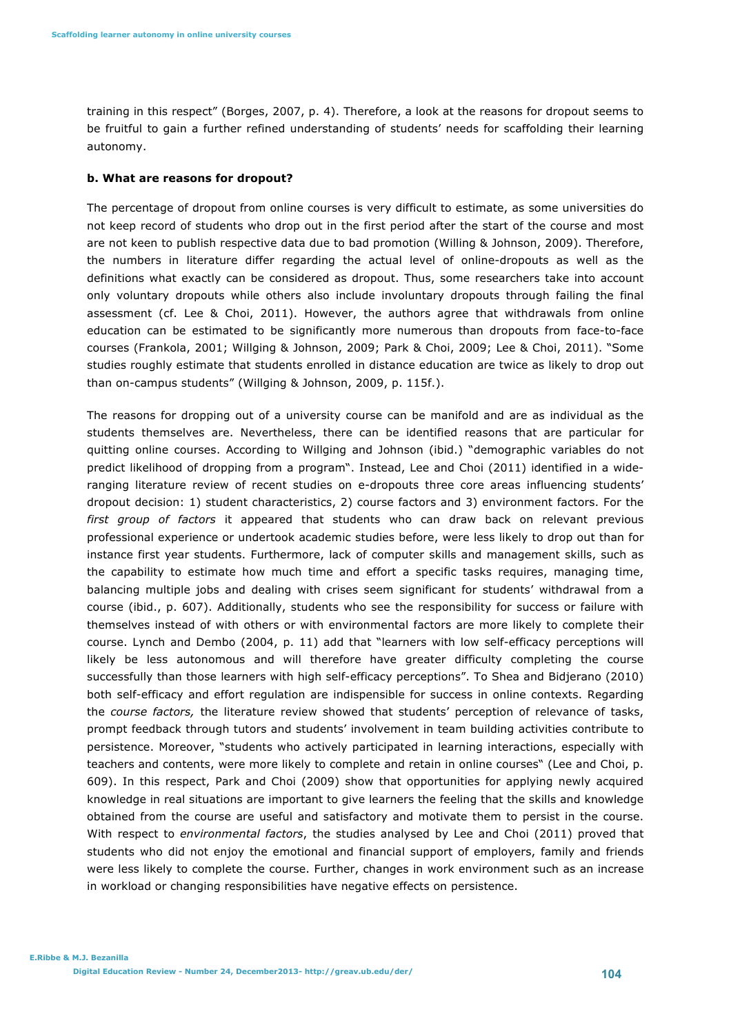training in this respect" (Borges, 2007, p. 4). Therefore, a look at the reasons for dropout seems to be fruitful to gain a further refined understanding of students' needs for scaffolding their learning autonomy.

#### **b. What are reasons for dropout?**

The percentage of dropout from online courses is very difficult to estimate, as some universities do not keep record of students who drop out in the first period after the start of the course and most are not keen to publish respective data due to bad promotion (Willing & Johnson, 2009). Therefore, the numbers in literature differ regarding the actual level of online-dropouts as well as the definitions what exactly can be considered as dropout. Thus, some researchers take into account only voluntary dropouts while others also include involuntary dropouts through failing the final assessment (cf. Lee & Choi, 2011). However, the authors agree that withdrawals from online education can be estimated to be significantly more numerous than dropouts from face-to-face courses (Frankola, 2001; Willging & Johnson, 2009; Park & Choi, 2009; Lee & Choi, 2011). "Some studies roughly estimate that students enrolled in distance education are twice as likely to drop out than on-campus students" (Willging & Johnson, 2009, p. 115f.).

The reasons for dropping out of a university course can be manifold and are as individual as the students themselves are. Nevertheless, there can be identified reasons that are particular for quitting online courses. According to Willging and Johnson (ibid.) "demographic variables do not predict likelihood of dropping from a program". Instead, Lee and Choi (2011) identified in a wideranging literature review of recent studies on e-dropouts three core areas influencing students' dropout decision: 1) student characteristics, 2) course factors and 3) environment factors. For the *first group of factors* it appeared that students who can draw back on relevant previous professional experience or undertook academic studies before, were less likely to drop out than for instance first year students. Furthermore, lack of computer skills and management skills, such as the capability to estimate how much time and effort a specific tasks requires, managing time, balancing multiple jobs and dealing with crises seem significant for students' withdrawal from a course (ibid., p. 607). Additionally, students who see the responsibility for success or failure with themselves instead of with others or with environmental factors are more likely to complete their course. Lynch and Dembo (2004, p. 11) add that "learners with low self-efficacy perceptions will likely be less autonomous and will therefore have greater difficulty completing the course successfully than those learners with high self-efficacy perceptions". To Shea and Bidjerano (2010) both self-efficacy and effort regulation are indispensible for success in online contexts. Regarding the *course factors,* the literature review showed that students' perception of relevance of tasks, prompt feedback through tutors and students' involvement in team building activities contribute to persistence. Moreover, "students who actively participated in learning interactions, especially with teachers and contents, were more likely to complete and retain in online courses" (Lee and Choi, p. 609). In this respect, Park and Choi (2009) show that opportunities for applying newly acquired knowledge in real situations are important to give learners the feeling that the skills and knowledge obtained from the course are useful and satisfactory and motivate them to persist in the course. With respect to *environmental factors*, the studies analysed by Lee and Choi (2011) proved that students who did not enjoy the emotional and financial support of employers, family and friends were less likely to complete the course. Further, changes in work environment such as an increase in workload or changing responsibilities have negative effects on persistence.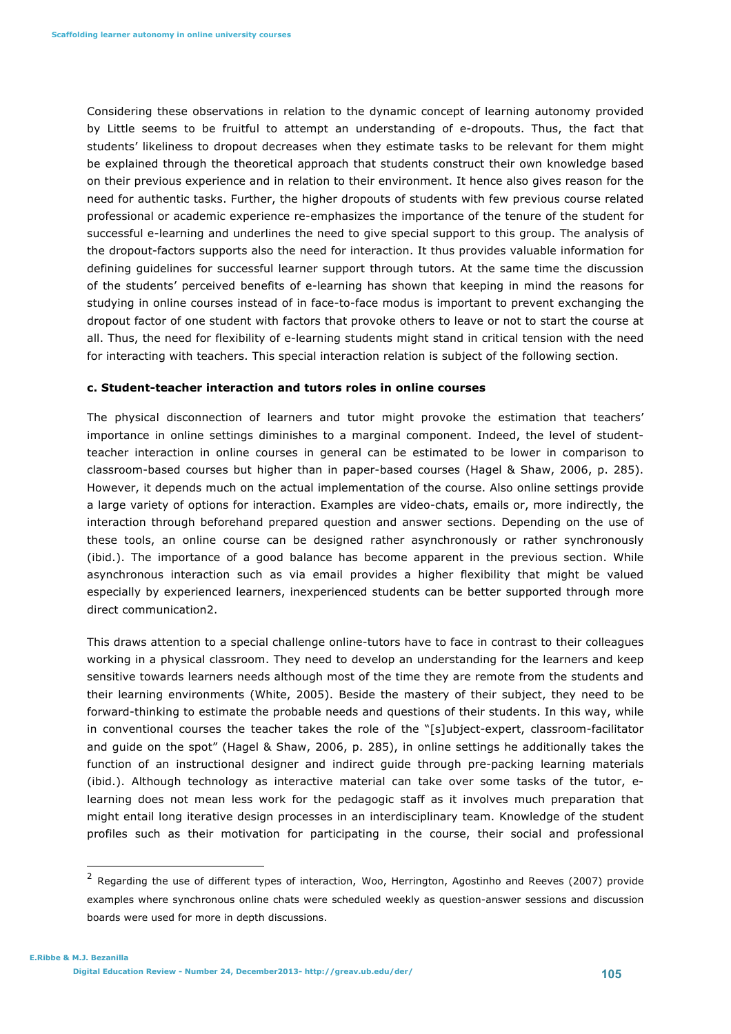Considering these observations in relation to the dynamic concept of learning autonomy provided by Little seems to be fruitful to attempt an understanding of e-dropouts. Thus, the fact that students' likeliness to dropout decreases when they estimate tasks to be relevant for them might be explained through the theoretical approach that students construct their own knowledge based on their previous experience and in relation to their environment. It hence also gives reason for the need for authentic tasks. Further, the higher dropouts of students with few previous course related professional or academic experience re-emphasizes the importance of the tenure of the student for successful e-learning and underlines the need to give special support to this group. The analysis of the dropout-factors supports also the need for interaction. It thus provides valuable information for defining guidelines for successful learner support through tutors. At the same time the discussion of the students' perceived benefits of e-learning has shown that keeping in mind the reasons for studying in online courses instead of in face-to-face modus is important to prevent exchanging the dropout factor of one student with factors that provoke others to leave or not to start the course at all. Thus, the need for flexibility of e-learning students might stand in critical tension with the need for interacting with teachers. This special interaction relation is subject of the following section.

#### **c. Student-teacher interaction and tutors roles in online courses**

The physical disconnection of learners and tutor might provoke the estimation that teachers' importance in online settings diminishes to a marginal component. Indeed, the level of studentteacher interaction in online courses in general can be estimated to be lower in comparison to classroom-based courses but higher than in paper-based courses (Hagel & Shaw, 2006, p. 285). However, it depends much on the actual implementation of the course. Also online settings provide a large variety of options for interaction. Examples are video-chats, emails or, more indirectly, the interaction through beforehand prepared question and answer sections. Depending on the use of these tools, an online course can be designed rather asynchronously or rather synchronously (ibid.). The importance of a good balance has become apparent in the previous section. While asynchronous interaction such as via email provides a higher flexibility that might be valued especially by experienced learners, inexperienced students can be better supported through more direct communication2.

This draws attention to a special challenge online-tutors have to face in contrast to their colleagues working in a physical classroom. They need to develop an understanding for the learners and keep sensitive towards learners needs although most of the time they are remote from the students and their learning environments (White, 2005). Beside the mastery of their subject, they need to be forward-thinking to estimate the probable needs and questions of their students. In this way, while in conventional courses the teacher takes the role of the "[s]ubject-expert, classroom-facilitator and guide on the spot" (Hagel & Shaw, 2006, p. 285), in online settings he additionally takes the function of an instructional designer and indirect guide through pre-packing learning materials (ibid.). Although technology as interactive material can take over some tasks of the tutor, elearning does not mean less work for the pedagogic staff as it involves much preparation that might entail long iterative design processes in an interdisciplinary team. Knowledge of the student profiles such as their motivation for participating in the course, their social and professional

 

<sup>&</sup>lt;sup>2</sup> Regarding the use of different types of interaction, Woo, Herrington, Agostinho and Reeves (2007) provide examples where synchronous online chats were scheduled weekly as question-answer sessions and discussion boards were used for more in depth discussions.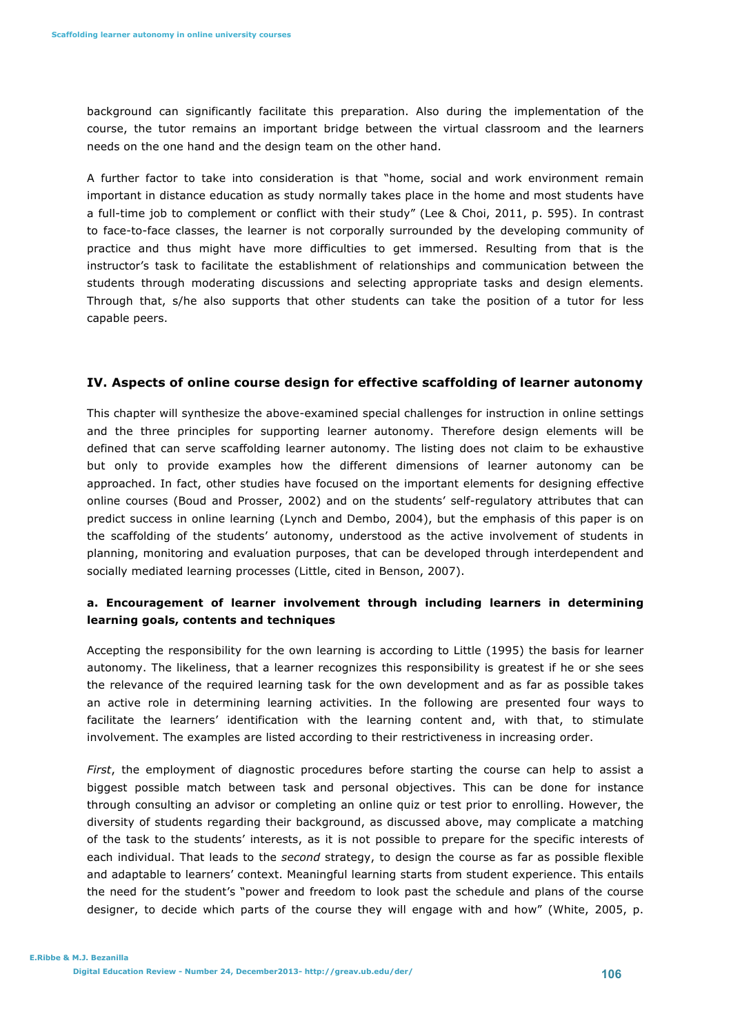background can significantly facilitate this preparation. Also during the implementation of the course, the tutor remains an important bridge between the virtual classroom and the learners needs on the one hand and the design team on the other hand.

A further factor to take into consideration is that "home, social and work environment remain important in distance education as study normally takes place in the home and most students have a full-time job to complement or conflict with their study" (Lee & Choi, 2011, p. 595). In contrast to face-to-face classes, the learner is not corporally surrounded by the developing community of practice and thus might have more difficulties to get immersed. Resulting from that is the instructor's task to facilitate the establishment of relationships and communication between the students through moderating discussions and selecting appropriate tasks and design elements. Through that, s/he also supports that other students can take the position of a tutor for less capable peers.

# **IV. Aspects of online course design for effective scaffolding of learner autonomy**

This chapter will synthesize the above-examined special challenges for instruction in online settings and the three principles for supporting learner autonomy. Therefore design elements will be defined that can serve scaffolding learner autonomy. The listing does not claim to be exhaustive but only to provide examples how the different dimensions of learner autonomy can be approached. In fact, other studies have focused on the important elements for designing effective online courses (Boud and Prosser, 2002) and on the students' self-regulatory attributes that can predict success in online learning (Lynch and Dembo, 2004), but the emphasis of this paper is on the scaffolding of the students' autonomy, understood as the active involvement of students in planning, monitoring and evaluation purposes, that can be developed through interdependent and socially mediated learning processes (Little, cited in Benson, 2007).

# **a. Encouragement of learner involvement through including learners in determining learning goals, contents and techniques**

Accepting the responsibility for the own learning is according to Little (1995) the basis for learner autonomy. The likeliness, that a learner recognizes this responsibility is greatest if he or she sees the relevance of the required learning task for the own development and as far as possible takes an active role in determining learning activities. In the following are presented four ways to facilitate the learners' identification with the learning content and, with that, to stimulate involvement. The examples are listed according to their restrictiveness in increasing order.

*First*, the employment of diagnostic procedures before starting the course can help to assist a biggest possible match between task and personal objectives. This can be done for instance through consulting an advisor or completing an online quiz or test prior to enrolling. However, the diversity of students regarding their background, as discussed above, may complicate a matching of the task to the students' interests, as it is not possible to prepare for the specific interests of each individual. That leads to the *second* strategy, to design the course as far as possible flexible and adaptable to learners' context. Meaningful learning starts from student experience. This entails the need for the student's "power and freedom to look past the schedule and plans of the course designer, to decide which parts of the course they will engage with and how" (White, 2005, p.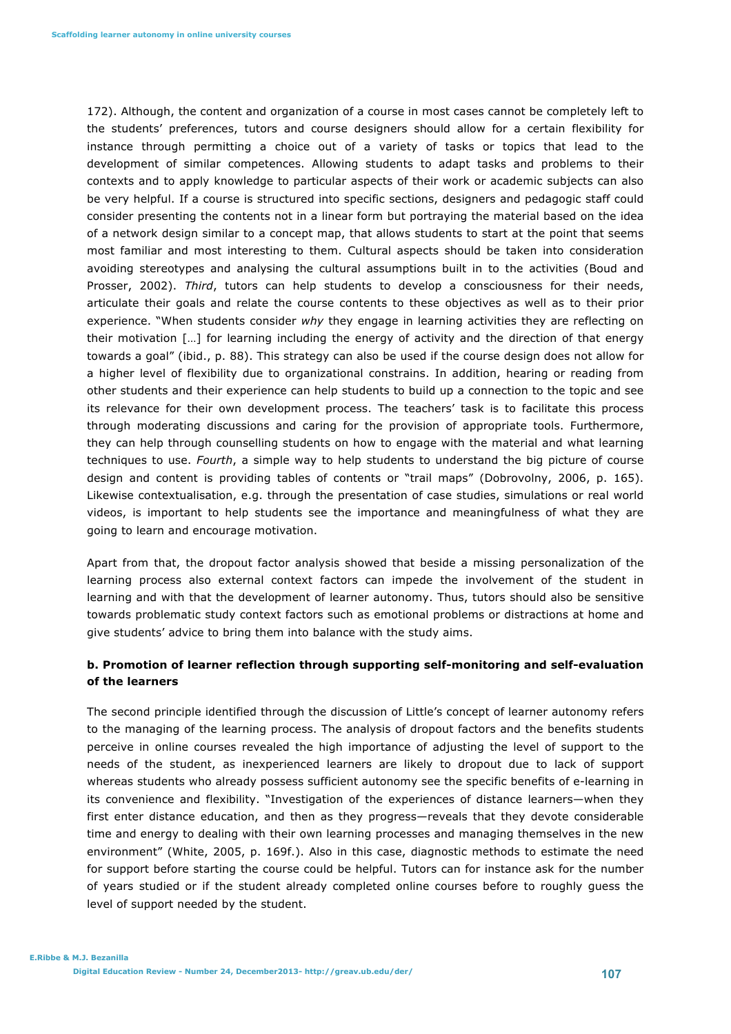172). Although, the content and organization of a course in most cases cannot be completely left to the students' preferences, tutors and course designers should allow for a certain flexibility for instance through permitting a choice out of a variety of tasks or topics that lead to the development of similar competences. Allowing students to adapt tasks and problems to their contexts and to apply knowledge to particular aspects of their work or academic subjects can also be very helpful. If a course is structured into specific sections, designers and pedagogic staff could consider presenting the contents not in a linear form but portraying the material based on the idea of a network design similar to a concept map, that allows students to start at the point that seems most familiar and most interesting to them. Cultural aspects should be taken into consideration avoiding stereotypes and analysing the cultural assumptions built in to the activities (Boud and Prosser, 2002). *Third*, tutors can help students to develop a consciousness for their needs, articulate their goals and relate the course contents to these objectives as well as to their prior experience. "When students consider *why* they engage in learning activities they are reflecting on their motivation […] for learning including the energy of activity and the direction of that energy towards a goal" (ibid., p. 88). This strategy can also be used if the course design does not allow for a higher level of flexibility due to organizational constrains. In addition, hearing or reading from other students and their experience can help students to build up a connection to the topic and see its relevance for their own development process. The teachers' task is to facilitate this process through moderating discussions and caring for the provision of appropriate tools. Furthermore, they can help through counselling students on how to engage with the material and what learning techniques to use. *Fourth*, a simple way to help students to understand the big picture of course design and content is providing tables of contents or "trail maps" (Dobrovolny, 2006, p. 165). Likewise contextualisation, e.g. through the presentation of case studies, simulations or real world videos, is important to help students see the importance and meaningfulness of what they are going to learn and encourage motivation.

Apart from that, the dropout factor analysis showed that beside a missing personalization of the learning process also external context factors can impede the involvement of the student in learning and with that the development of learner autonomy. Thus, tutors should also be sensitive towards problematic study context factors such as emotional problems or distractions at home and give students' advice to bring them into balance with the study aims.

# **b. Promotion of learner reflection through supporting self-monitoring and self-evaluation of the learners**

The second principle identified through the discussion of Little's concept of learner autonomy refers to the managing of the learning process. The analysis of dropout factors and the benefits students perceive in online courses revealed the high importance of adjusting the level of support to the needs of the student, as inexperienced learners are likely to dropout due to lack of support whereas students who already possess sufficient autonomy see the specific benefits of e-learning in its convenience and flexibility. "Investigation of the experiences of distance learners—when they first enter distance education, and then as they progress—reveals that they devote considerable time and energy to dealing with their own learning processes and managing themselves in the new environment" (White, 2005, p. 169f.). Also in this case, diagnostic methods to estimate the need for support before starting the course could be helpful. Tutors can for instance ask for the number of years studied or if the student already completed online courses before to roughly guess the level of support needed by the student.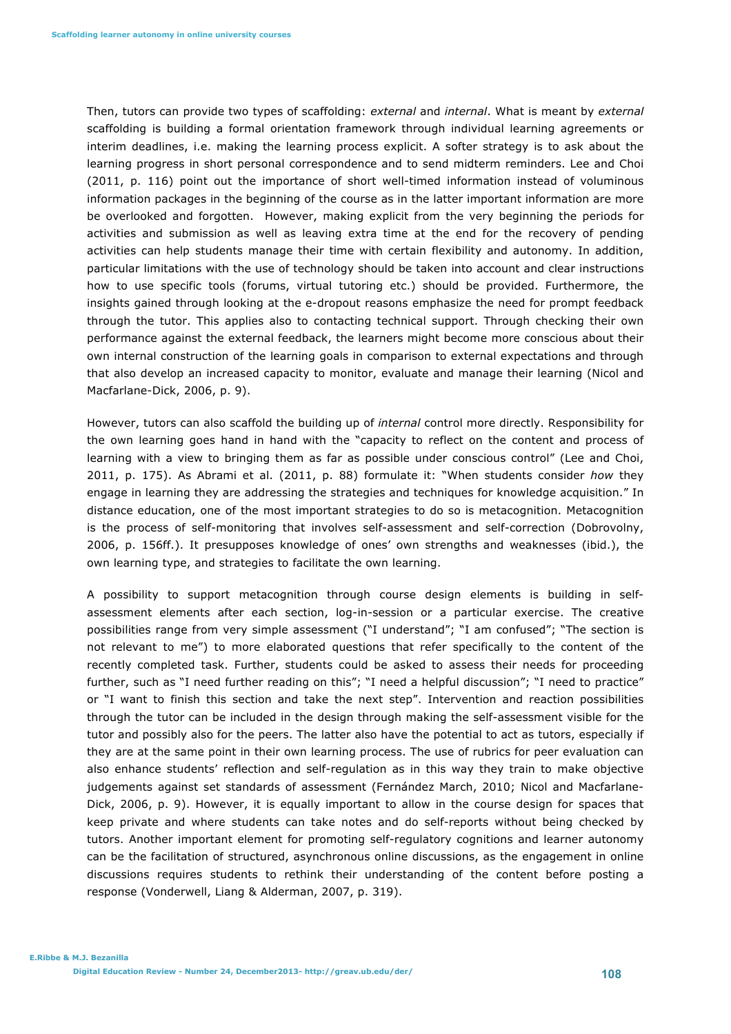Then, tutors can provide two types of scaffolding: *external* and *internal*. What is meant by *external* scaffolding is building a formal orientation framework through individual learning agreements or interim deadlines, i.e. making the learning process explicit. A softer strategy is to ask about the learning progress in short personal correspondence and to send midterm reminders. Lee and Choi (2011, p. 116) point out the importance of short well-timed information instead of voluminous information packages in the beginning of the course as in the latter important information are more be overlooked and forgotten. However, making explicit from the very beginning the periods for activities and submission as well as leaving extra time at the end for the recovery of pending activities can help students manage their time with certain flexibility and autonomy. In addition, particular limitations with the use of technology should be taken into account and clear instructions how to use specific tools (forums, virtual tutoring etc.) should be provided. Furthermore, the insights gained through looking at the e-dropout reasons emphasize the need for prompt feedback through the tutor. This applies also to contacting technical support. Through checking their own performance against the external feedback, the learners might become more conscious about their own internal construction of the learning goals in comparison to external expectations and through that also develop an increased capacity to monitor, evaluate and manage their learning (Nicol and Macfarlane-Dick, 2006, p. 9).

However, tutors can also scaffold the building up of *internal* control more directly. Responsibility for the own learning goes hand in hand with the "capacity to reflect on the content and process of learning with a view to bringing them as far as possible under conscious control" (Lee and Choi, 2011, p. 175). As Abrami et al. (2011, p. 88) formulate it: "When students consider *how* they engage in learning they are addressing the strategies and techniques for knowledge acquisition." In distance education, one of the most important strategies to do so is metacognition. Metacognition is the process of self-monitoring that involves self-assessment and self-correction (Dobrovolny, 2006, p. 156ff.). It presupposes knowledge of ones' own strengths and weaknesses (ibid.), the own learning type, and strategies to facilitate the own learning.

A possibility to support metacognition through course design elements is building in selfassessment elements after each section, log-in-session or a particular exercise. The creative possibilities range from very simple assessment ("I understand"; "I am confused"; "The section is not relevant to me") to more elaborated questions that refer specifically to the content of the recently completed task. Further, students could be asked to assess their needs for proceeding further, such as "I need further reading on this"; "I need a helpful discussion"; "I need to practice" or "I want to finish this section and take the next step". Intervention and reaction possibilities through the tutor can be included in the design through making the self-assessment visible for the tutor and possibly also for the peers. The latter also have the potential to act as tutors, especially if they are at the same point in their own learning process. The use of rubrics for peer evaluation can also enhance students' reflection and self-regulation as in this way they train to make objective judgements against set standards of assessment (Fernández March, 2010; Nicol and Macfarlane-Dick, 2006, p. 9). However, it is equally important to allow in the course design for spaces that keep private and where students can take notes and do self-reports without being checked by tutors. Another important element for promoting self-regulatory cognitions and learner autonomy can be the facilitation of structured, asynchronous online discussions, as the engagement in online discussions requires students to rethink their understanding of the content before posting a response (Vonderwell, Liang & Alderman, 2007, p. 319).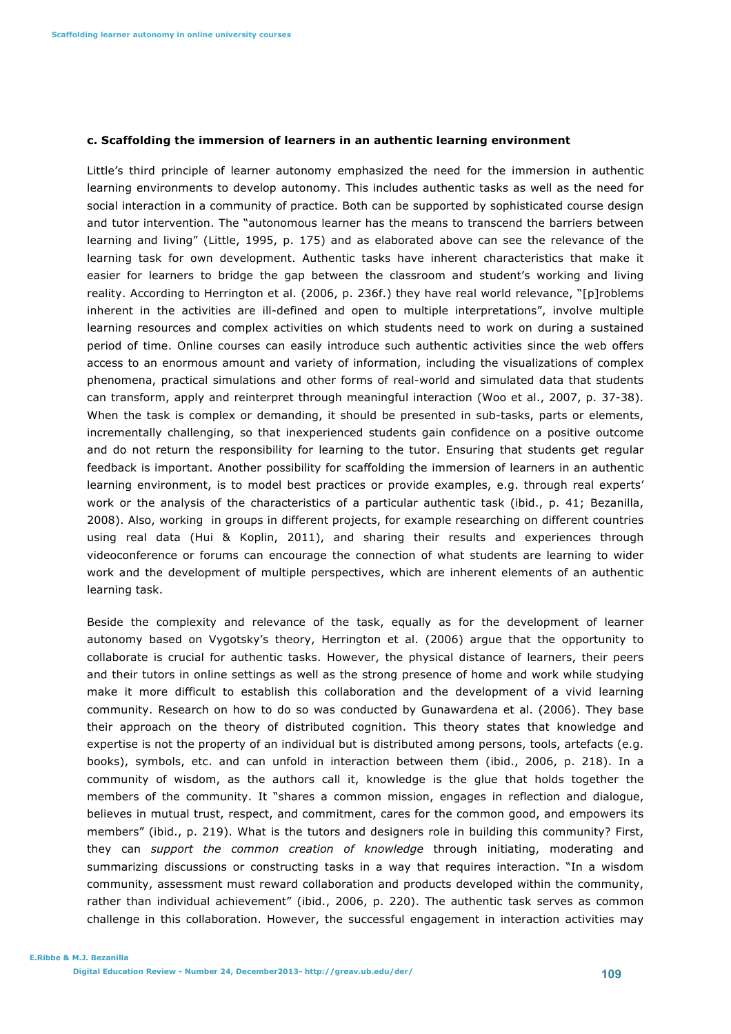#### **c. Scaffolding the immersion of learners in an authentic learning environment**

Little's third principle of learner autonomy emphasized the need for the immersion in authentic learning environments to develop autonomy. This includes authentic tasks as well as the need for social interaction in a community of practice. Both can be supported by sophisticated course design and tutor intervention. The "autonomous learner has the means to transcend the barriers between learning and living" (Little, 1995, p. 175) and as elaborated above can see the relevance of the learning task for own development. Authentic tasks have inherent characteristics that make it easier for learners to bridge the gap between the classroom and student's working and living reality. According to Herrington et al. (2006, p. 236f.) they have real world relevance, "[p]roblems inherent in the activities are ill-defined and open to multiple interpretations", involve multiple learning resources and complex activities on which students need to work on during a sustained period of time. Online courses can easily introduce such authentic activities since the web offers access to an enormous amount and variety of information, including the visualizations of complex phenomena, practical simulations and other forms of real-world and simulated data that students can transform, apply and reinterpret through meaningful interaction (Woo et al., 2007, p. 37-38). When the task is complex or demanding, it should be presented in sub-tasks, parts or elements, incrementally challenging, so that inexperienced students gain confidence on a positive outcome and do not return the responsibility for learning to the tutor. Ensuring that students get regular feedback is important. Another possibility for scaffolding the immersion of learners in an authentic learning environment, is to model best practices or provide examples, e.g. through real experts' work or the analysis of the characteristics of a particular authentic task (ibid., p. 41; Bezanilla, 2008). Also, working in groups in different projects, for example researching on different countries using real data (Hui & Koplin, 2011), and sharing their results and experiences through videoconference or forums can encourage the connection of what students are learning to wider work and the development of multiple perspectives, which are inherent elements of an authentic learning task.

Beside the complexity and relevance of the task, equally as for the development of learner autonomy based on Vygotsky's theory, Herrington et al. (2006) argue that the opportunity to collaborate is crucial for authentic tasks. However, the physical distance of learners, their peers and their tutors in online settings as well as the strong presence of home and work while studying make it more difficult to establish this collaboration and the development of a vivid learning community. Research on how to do so was conducted by Gunawardena et al. (2006). They base their approach on the theory of distributed cognition. This theory states that knowledge and expertise is not the property of an individual but is distributed among persons, tools, artefacts (e.g. books), symbols, etc. and can unfold in interaction between them (ibid., 2006, p. 218). In a community of wisdom, as the authors call it, knowledge is the glue that holds together the members of the community. It "shares a common mission, engages in reflection and dialogue, believes in mutual trust, respect, and commitment, cares for the common good, and empowers its members" (ibid., p. 219). What is the tutors and designers role in building this community? First, they can *support the common creation of knowledge* through initiating, moderating and summarizing discussions or constructing tasks in a way that requires interaction. "In a wisdom community, assessment must reward collaboration and products developed within the community, rather than individual achievement" (ibid., 2006, p. 220). The authentic task serves as common challenge in this collaboration. However, the successful engagement in interaction activities may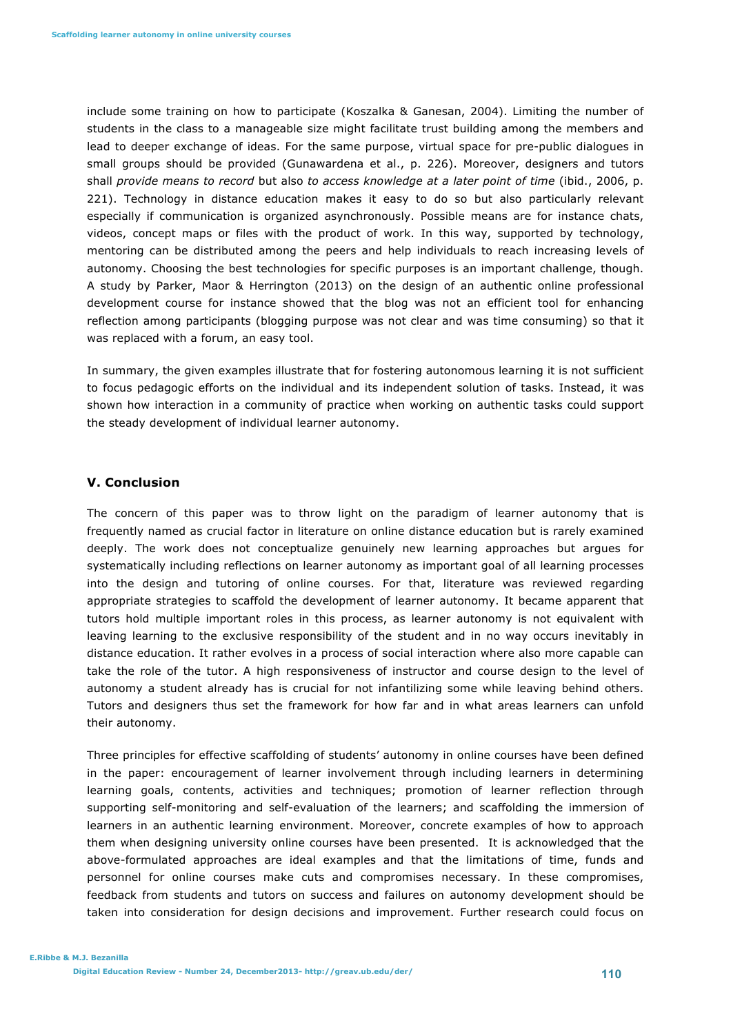include some training on how to participate (Koszalka & Ganesan, 2004). Limiting the number of students in the class to a manageable size might facilitate trust building among the members and lead to deeper exchange of ideas. For the same purpose, virtual space for pre-public dialogues in small groups should be provided (Gunawardena et al., p. 226). Moreover, designers and tutors shall *provide means to record* but also *to access knowledge at a later point of time* (ibid., 2006, p. 221). Technology in distance education makes it easy to do so but also particularly relevant especially if communication is organized asynchronously. Possible means are for instance chats, videos, concept maps or files with the product of work. In this way, supported by technology, mentoring can be distributed among the peers and help individuals to reach increasing levels of autonomy. Choosing the best technologies for specific purposes is an important challenge, though. A study by Parker, Maor & Herrington (2013) on the design of an authentic online professional development course for instance showed that the blog was not an efficient tool for enhancing reflection among participants (blogging purpose was not clear and was time consuming) so that it was replaced with a forum, an easy tool.

In summary, the given examples illustrate that for fostering autonomous learning it is not sufficient to focus pedagogic efforts on the individual and its independent solution of tasks. Instead, it was shown how interaction in a community of practice when working on authentic tasks could support the steady development of individual learner autonomy.

# **V. Conclusion**

The concern of this paper was to throw light on the paradigm of learner autonomy that is frequently named as crucial factor in literature on online distance education but is rarely examined deeply. The work does not conceptualize genuinely new learning approaches but argues for systematically including reflections on learner autonomy as important goal of all learning processes into the design and tutoring of online courses. For that, literature was reviewed regarding appropriate strategies to scaffold the development of learner autonomy. It became apparent that tutors hold multiple important roles in this process, as learner autonomy is not equivalent with leaving learning to the exclusive responsibility of the student and in no way occurs inevitably in distance education. It rather evolves in a process of social interaction where also more capable can take the role of the tutor. A high responsiveness of instructor and course design to the level of autonomy a student already has is crucial for not infantilizing some while leaving behind others. Tutors and designers thus set the framework for how far and in what areas learners can unfold their autonomy.

Three principles for effective scaffolding of students' autonomy in online courses have been defined in the paper: encouragement of learner involvement through including learners in determining learning goals, contents, activities and techniques; promotion of learner reflection through supporting self-monitoring and self-evaluation of the learners; and scaffolding the immersion of learners in an authentic learning environment. Moreover, concrete examples of how to approach them when designing university online courses have been presented. It is acknowledged that the above-formulated approaches are ideal examples and that the limitations of time, funds and personnel for online courses make cuts and compromises necessary. In these compromises, feedback from students and tutors on success and failures on autonomy development should be taken into consideration for design decisions and improvement. Further research could focus on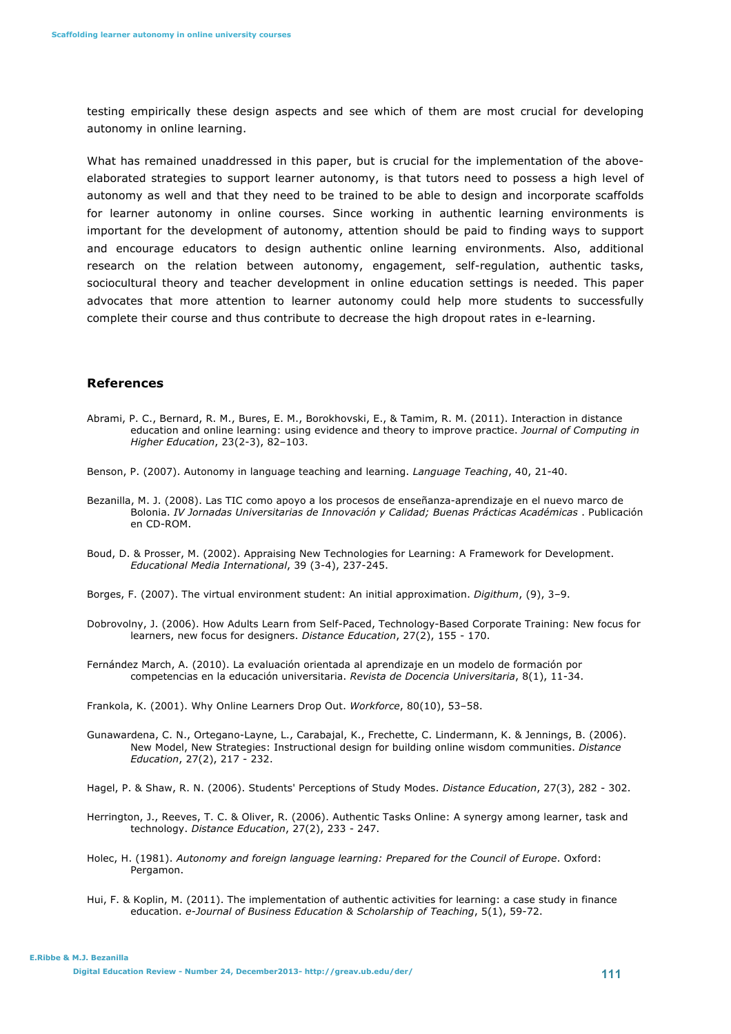testing empirically these design aspects and see which of them are most crucial for developing autonomy in online learning.

What has remained unaddressed in this paper, but is crucial for the implementation of the aboveelaborated strategies to support learner autonomy, is that tutors need to possess a high level of autonomy as well and that they need to be trained to be able to design and incorporate scaffolds for learner autonomy in online courses. Since working in authentic learning environments is important for the development of autonomy, attention should be paid to finding ways to support and encourage educators to design authentic online learning environments. Also, additional research on the relation between autonomy, engagement, self-regulation, authentic tasks, sociocultural theory and teacher development in online education settings is needed. This paper advocates that more attention to learner autonomy could help more students to successfully complete their course and thus contribute to decrease the high dropout rates in e-learning.

#### **References**

- Abrami, P. C., Bernard, R. M., Bures, E. M., Borokhovski, E., & Tamim, R. M. (2011). Interaction in distance education and online learning: using evidence and theory to improve practice. *Journal of Computing in Higher Education*, 23(2-3), 82–103.
- Benson, P. (2007). Autonomy in language teaching and learning. *Language Teaching*, 40, 21-40.
- Bezanilla, M. J. (2008). Las TIC como apoyo a los procesos de enseñanza-aprendizaje en el nuevo marco de Bolonia. *IV Jornadas Universitarias de Innovación y Calidad; Buenas Prácticas Académicas* . Publicación en CD-ROM.
- Boud, D. & Prosser, M. (2002). Appraising New Technologies for Learning: A Framework for Development. *Educational Media International*, 39 (3-4), 237-245.
- Borges, F. (2007). The virtual environment student: An initial approximation. *Digithum*, (9), 3–9.
- Dobrovolny, J. (2006). How Adults Learn from Self-Paced, Technology-Based Corporate Training: New focus for learners, new focus for designers. *Distance Education*, 27(2), 155 - 170.

Fernández March, A. (2010). La evaluación orientada al aprendizaje en un modelo de formación por competencias en la educación universitaria. *Revista de Docencia Universitaria*, 8(1), 11-34.

Frankola, K. (2001). Why Online Learners Drop Out. *Workforce*, 80(10), 53–58.

Gunawardena, C. N., Ortegano-Layne, L., Carabajal, K., Frechette, C. Lindermann, K. & Jennings, B. (2006). New Model, New Strategies: Instructional design for building online wisdom communities. *Distance Education*, 27(2), 217 - 232.

Hagel, P. & Shaw, R. N. (2006). Students' Perceptions of Study Modes. *Distance Education*, 27(3), 282 - 302.

- Herrington, J., Reeves, T. C. & Oliver, R. (2006). Authentic Tasks Online: A synergy among learner, task and technology. *Distance Education*, 27(2), 233 - 247.
- Holec, H. (1981). *Autonomy and foreign language learning: Prepared for the Council of Europe*. Oxford: Pergamon.
- Hui, F. & Koplin, M. (2011). The implementation of authentic activities for learning: a case study in finance education. *e-Journal of Business Education & Scholarship of Teaching*, 5(1), 59-72.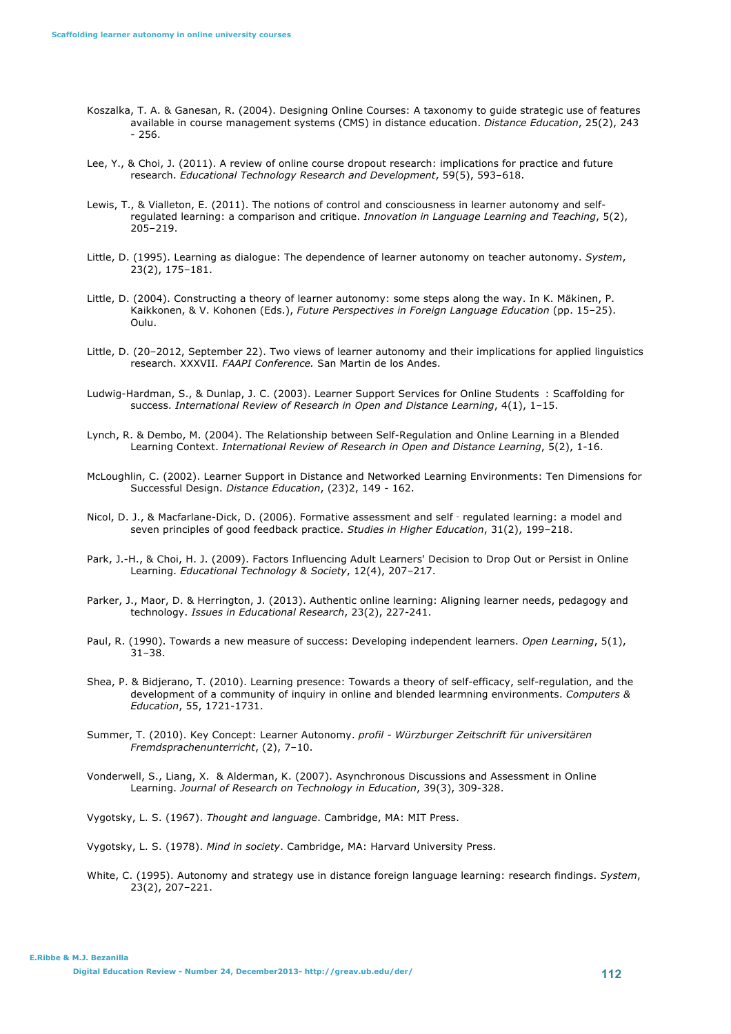- Koszalka, T. A. & Ganesan, R. (2004). Designing Online Courses: A taxonomy to guide strategic use of features available in course management systems (CMS) in distance education. *Distance Education*, 25(2), 243 - 256.
- Lee, Y., & Choi, J. (2011). A review of online course dropout research: implications for practice and future research. *Educational Technology Research and Development*, 59(5), 593–618.
- Lewis, T., & Vialleton, E. (2011). The notions of control and consciousness in learner autonomy and selfregulated learning: a comparison and critique. *Innovation in Language Learning and Teaching*, 5(2), 205–219.
- Little, D. (1995). Learning as dialogue: The dependence of learner autonomy on teacher autonomy. *System*, 23(2), 175–181.
- Little, D. (2004). Constructing a theory of learner autonomy: some steps along the way. In K. Mäkinen, P. Kaikkonen, & V. Kohonen (Eds.), *Future Perspectives in Foreign Language Education* (pp. 15–25). Oulu.
- Little, D. (20–2012, September 22). Two views of learner autonomy and their implications for applied linguistics research. XXXVII*. FAAPI Conference.* San Martin de los Andes.
- Ludwig-Hardman, S., & Dunlap, J. C. (2003). Learner Support Services for Online Students : Scaffolding for success. *International Review of Research in Open and Distance Learning*, 4(1), 1–15.
- Lynch, R. & Dembo, M. (2004). The Relationship between Self-Regulation and Online Learning in a Blended Learning Context. *International Review of Research in Open and Distance Learning*, 5(2), 1-16.
- McLoughlin, C. (2002). Learner Support in Distance and Networked Learning Environments: Ten Dimensions for Successful Design. *Distance Education*, (23)2, 149 - 162.
- Nicol, D. J., & Macfarlane-Dick, D. (2006). Formative assessment and self‐regulated learning: a model and seven principles of good feedback practice. *Studies in Higher Education*, 31(2), 199–218.
- Park, J.-H., & Choi, H. J. (2009). Factors Influencing Adult Learners' Decision to Drop Out or Persist in Online Learning. *Educational Technology & Society*, 12(4), 207–217.
- Parker, J., Maor, D. & Herrington, J. (2013). Authentic online learning: Aligning learner needs, pedagogy and technology. *Issues in Educational Research*, 23(2), 227-241.
- Paul, R. (1990). Towards a new measure of success: Developing independent learners. *Open Learning*, 5(1),  $31 - 38.$
- Shea, P. & Bidjerano, T. (2010). Learning presence: Towards a theory of self-efficacy, self-regulation, and the development of a community of inquiry in online and blended learmning environments. *Computers & Education*, 55, 1721-1731.
- Summer, T. (2010). Key Concept: Learner Autonomy. *profil Würzburger Zeitschrift für universitären Fremdsprachenunterricht*, (2), 7–10.
- Vonderwell, S., Liang, X. & Alderman, K. (2007). Asynchronous Discussions and Assessment in Online Learning. *Journal of Research on Technology in Education*, 39(3), 309-328.

Vygotsky, L. S. (1967). *Thought and language*. Cambridge, MA: MIT Press.

Vygotsky, L. S. (1978). *Mind in society*. Cambridge, MA: Harvard University Press.

White, C. (1995). Autonomy and strategy use in distance foreign language learning: research findings. *System*, 23(2), 207–221.